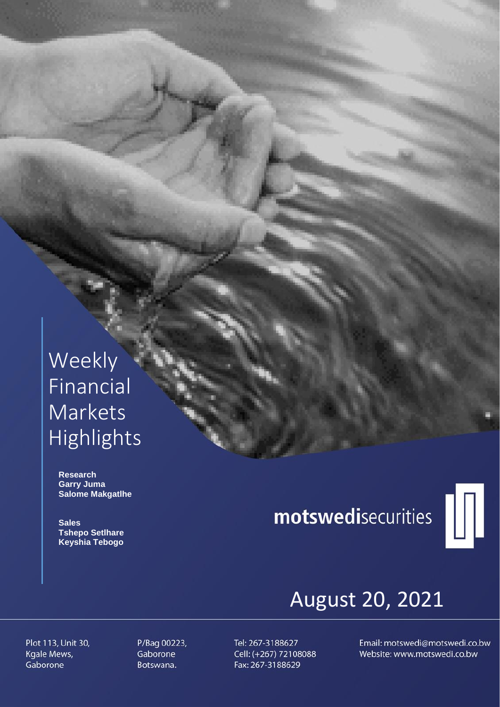## Weekly Financial **Markets** Highlights

 **Research Garry Juma Salome Makgatlhe**

 **Sales Tshepo Setlhare Keyshia Tebogo**

# motswedisecurities



## August 20, 2021

Plot 113, Unit 30, Kgale Mews, Gaborone

P/Bag 00223, Gaborone Botswana.

Tel: 267-3188627 Cell: (+267) 72108088 Fax: 267-3188629

Email: motswedi@motswedi.co.bw Website: www.motswedi.co.bw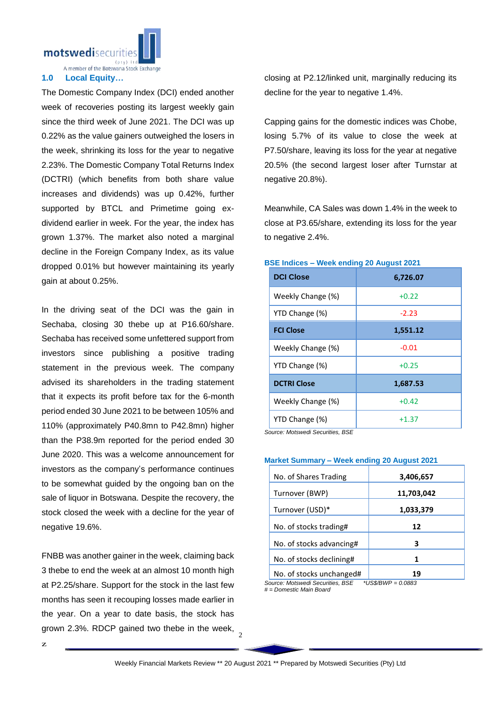motswedisecuritie

A member of the Botswana Stock Exchange

#### **1.0 Local Equity…**

The Domestic Company Index (DCI) ended another week of recoveries posting its largest weekly gain since the third week of June 2021. The DCI was up 0.22% as the value gainers outweighed the losers in the week, shrinking its loss for the year to negative 2.23%. The Domestic Company Total Returns Index (DCTRI) (which benefits from both share value increases and dividends) was up 0.42%, further supported by BTCL and Primetime going exdividend earlier in week. For the year, the index has grown 1.37%. The market also noted a marginal decline in the Foreign Company Index, as its value dropped 0.01% but however maintaining its yearly gain at about 0.25%.

In the driving seat of the DCI was the gain in Sechaba, closing 30 thebe up at P16.60/share. Sechaba has received some unfettered support from investors since publishing a positive trading statement in the previous week. The company advised its shareholders in the trading statement that it expects its profit before tax for the 6-month period ended 30 June 2021 to be between 105% and 110% (approximately P40.8mn to P42.8mn) higher than the P38.9m reported for the period ended 30 June 2020. This was a welcome announcement for investors as the company's performance continues to be somewhat guided by the ongoing ban on the sale of liquor in Botswana. Despite the recovery, the stock closed the week with a decline for the year of negative 19.6%.

grown 2.3%. RDCP gained two thebe in the week,  $\frac{2}{3}$ FNBB was another gainer in the week, claiming back 3 thebe to end the week at an almost 10 month high at P2.25/share. Support for the stock in the last few months has seen it recouping losses made earlier in the year. On a year to date basis, the stock has

closing at P2.12/linked unit, marginally reducing its decline for the year to negative 1.4%.

Capping gains for the domestic indices was Chobe, losing 5.7% of its value to close the week at P7.50/share, leaving its loss for the year at negative 20.5% (the second largest loser after Turnstar at negative 20.8%).

Meanwhile, CA Sales was down 1.4% in the week to close at P3.65/share, extending its loss for the year to negative 2.4%.

### **DCI Close 6,726.07** Weekly Change  $(\%)$   $+0.22$  $YTD$  Change  $(\%)$   $\qquad \qquad$  -2.23 **FCI Close 1,551.12** Weekly Change (%) and the control of the control of the control of the control of the control of the control of the control of the control of the control of the control of the control of the control of the control of the c YTD Change  $(\%)$   $+0.25$ **DCTRI Close 1,687.53** Weekly Change  $(\%)$   $+0.42$ YTD Change  $(\%)$  +1.37

#### **BSE Indices – Week ending 20 August 2021**

*Source: Motswedi Securities, BSE*

#### **Market Summary – Week ending 20 August 2021**

| No. of Shares Trading    | 3,406,657  |
|--------------------------|------------|
| Turnover (BWP)           | 11,703,042 |
| Turnover (USD)*          | 1,033,379  |
| No. of stocks trading#   | 12         |
| No. of stocks advancing# | З          |
| No. of stocks declining# |            |
| No. of stocks unchanged# |            |

*Source: Motswedi Securities, BSE \*US\$/BWP = 0.0883*

*# = Domestic Main Board*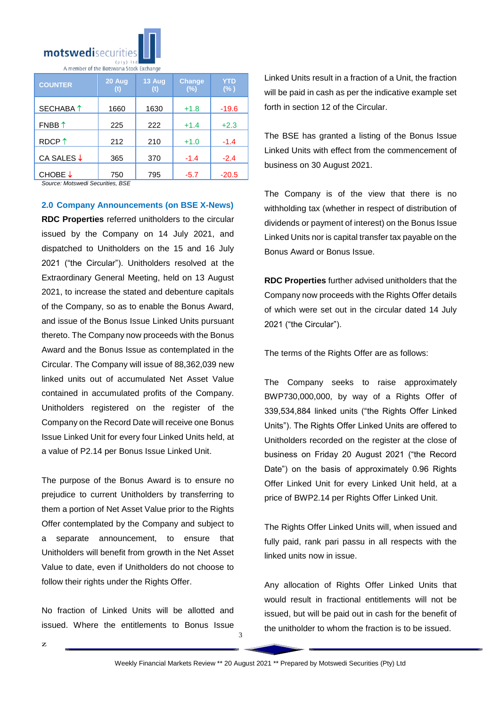

A member of the Botswana Stock Exchang

| <b>COUNTER</b>       | 20 Aug<br>(t) | 13 Aug<br>(t) | <b>Change</b><br>(%) | YTD<br>$(\% )$ |
|----------------------|---------------|---------------|----------------------|----------------|
| SECHABA <sup>↑</sup> | 1660          | 1630          | $+1.8$               | $-19.6$        |
| FNBB $\uparrow$      | 225           | 222           | $+1.4$               | $+2.3$         |
| RDCP <sup>1</sup>    | 212           | 210           | $+1.0$               | $-1.4$         |
| CA SALES ↓           | 365           | 370           | $-1.4$               | $-2.4$         |
| CHOBE ↓              | 750           | 795           | $-5.7$               | $-20.5$        |

*Source: Motswedi Securities, BSE* 

**2.0 Company Announcements (on BSE X-News)**

**RDC Properties** referred unitholders to the circular issued by the Company on 14 July 2021, and dispatched to Unitholders on the 15 and 16 July 2021 ("the Circular"). Unitholders resolved at the Extraordinary General Meeting, held on 13 August 2021, to increase the stated and debenture capitals of the Company, so as to enable the Bonus Award, and issue of the Bonus Issue Linked Units pursuant thereto. The Company now proceeds with the Bonus Award and the Bonus Issue as contemplated in the Circular. The Company will issue of 88,362,039 new linked units out of accumulated Net Asset Value contained in accumulated profits of the Company. Unitholders registered on the register of the Company on the Record Date will receive one Bonus Issue Linked Unit for every four Linked Units held, at a value of P2.14 per Bonus Issue Linked Unit.

The purpose of the Bonus Award is to ensure no prejudice to current Unitholders by transferring to them a portion of Net Asset Value prior to the Rights Offer contemplated by the Company and subject to a separate announcement, to ensure that Unitholders will benefit from growth in the Net Asset Value to date, even if Unitholders do not choose to follow their rights under the Rights Offer.

No fraction of Linked Units will be allotted and issued. Where the entitlements to Bonus Issue Linked Units result in a fraction of a Unit, the fraction will be paid in cash as per the indicative example set forth in section 12 of the Circular.

The BSE has granted a listing of the Bonus Issue Linked Units with effect from the commencement of business on 30 August 2021.

The Company is of the view that there is no withholding tax (whether in respect of distribution of dividends or payment of interest) on the Bonus Issue Linked Units nor is capital transfer tax payable on the Bonus Award or Bonus Issue.

**RDC Properties** further advised unitholders that the Company now proceeds with the Rights Offer details of which were set out in the circular dated 14 July 2021 ("the Circular").

The terms of the Rights Offer are as follows:

The Company seeks to raise approximately BWP730,000,000, by way of a Rights Offer of 339,534,884 linked units ("the Rights Offer Linked Units"). The Rights Offer Linked Units are offered to Unitholders recorded on the register at the close of business on Friday 20 August 2021 ("the Record Date") on the basis of approximately 0.96 Rights Offer Linked Unit for every Linked Unit held, at a price of BWP2.14 per Rights Offer Linked Unit.

The Rights Offer Linked Units will, when issued and fully paid, rank pari passu in all respects with the linked units now in issue.

Any allocation of Rights Offer Linked Units that would result in fractional entitlements will not be issued, but will be paid out in cash for the benefit of the unitholder to whom the fraction is to be issued.

3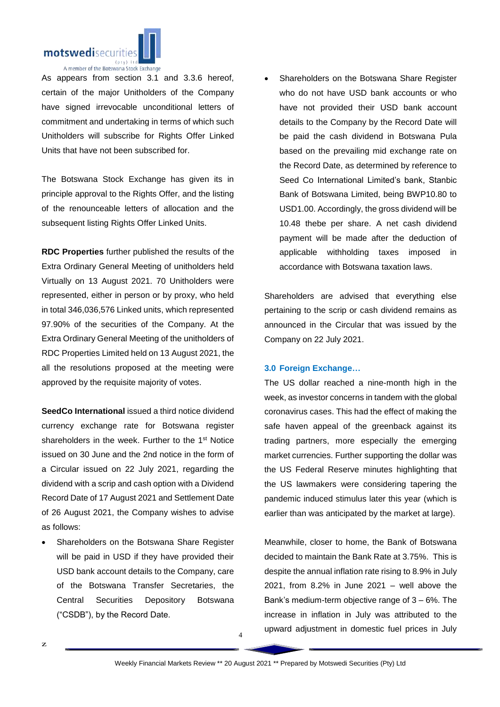

As appears from section 3.1 and 3.3.6 hereof, certain of the major Unitholders of the Company have signed irrevocable unconditional letters of commitment and undertaking in terms of which such Unitholders will subscribe for Rights Offer Linked Units that have not been subscribed for.

The Botswana Stock Exchange has given its in principle approval to the Rights Offer, and the listing of the renounceable letters of allocation and the subsequent listing Rights Offer Linked Units.

**RDC Properties** further published the results of the Extra Ordinary General Meeting of unitholders held Virtually on 13 August 2021. 70 Unitholders were represented, either in person or by proxy, who held in total 346,036,576 Linked units, which represented 97.90% of the securities of the Company. At the Extra Ordinary General Meeting of the unitholders of RDC Properties Limited held on 13 August 2021, the all the resolutions proposed at the meeting were approved by the requisite majority of votes.

**SeedCo International** issued a third notice dividend currency exchange rate for Botswana register shareholders in the week. Further to the 1<sup>st</sup> Notice issued on 30 June and the 2nd notice in the form of a Circular issued on 22 July 2021, regarding the dividend with a scrip and cash option with a Dividend Record Date of 17 August 2021 and Settlement Date of 26 August 2021, the Company wishes to advise as follows:

 Shareholders on the Botswana Share Register will be paid in USD if they have provided their USD bank account details to the Company, care of the Botswana Transfer Secretaries, the Central Securities Depository Botswana ("CSDB"), by the Record Date.

z.

 Shareholders on the Botswana Share Register who do not have USD bank accounts or who have not provided their USD bank account details to the Company by the Record Date will be paid the cash dividend in Botswana Pula based on the prevailing mid exchange rate on the Record Date, as determined by reference to Seed Co International Limited's bank, Stanbic Bank of Botswana Limited, being BWP10.80 to USD1.00. Accordingly, the gross dividend will be 10.48 thebe per share. A net cash dividend payment will be made after the deduction of applicable withholding taxes imposed in accordance with Botswana taxation laws.

Shareholders are advised that everything else pertaining to the scrip or cash dividend remains as announced in the Circular that was issued by the Company on 22 July 2021.

#### **3.0 Foreign Exchange…**

The US dollar reached a nine-month high in the week, as investor concerns in tandem with the global coronavirus cases. This had the effect of making the safe haven appeal of the greenback against its trading partners, more especially the emerging market currencies. Further supporting the dollar was the US Federal Reserve minutes highlighting that the US lawmakers were considering tapering the pandemic induced stimulus later this year (which is earlier than was anticipated by the market at large).

Meanwhile, closer to home, the Bank of Botswana decided to maintain the Bank Rate at 3.75%. This is despite the annual inflation rate rising to 8.9% in July 2021, from 8.2% in June 2021 – well above the Bank's medium-term objective range of 3 – 6%. The increase in inflation in July was attributed to the upward adjustment in domestic fuel prices in July